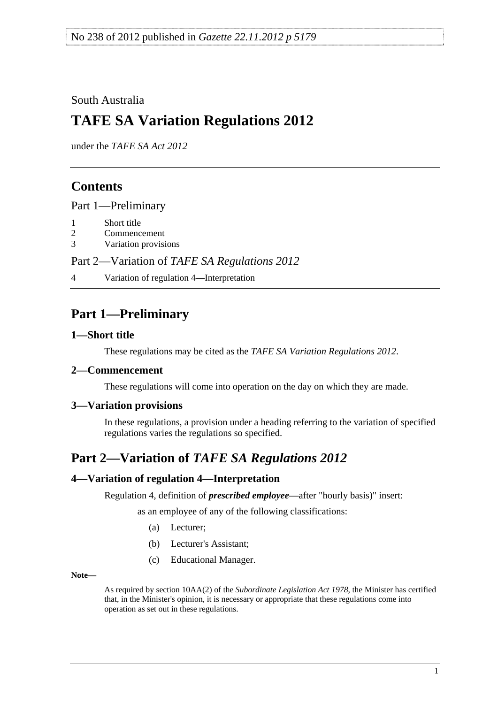<span id="page-0-0"></span>South Australia

# **TAFE SA Variation Regulations 2012**

under the *TAFE SA Act 2012*

### **Contents**

[Part 1—Preliminary](#page-0-0)

- [1 Short title](#page-0-0)
- [2 Commencement](#page-0-0)
- [3 Variation provisions](#page-0-0)

Part 2—Variation of *[TAFE SA Regulations 2012](#page-0-0)*

[4 Variation of regulation 4—Interpretation](#page-0-0) 

# **Part 1—Preliminary**

### **1—Short title**

These regulations may be cited as the *TAFE SA Variation Regulations 2012*.

### **2—Commencement**

These regulations will come into operation on the day on which they are made.

### **3—Variation provisions**

In these regulations, a provision under a heading referring to the variation of specified regulations varies the regulations so specified.

# **Part 2—Variation of** *TAFE SA Regulations 2012*

### **4—Variation of regulation 4—Interpretation**

Regulation 4, definition of *prescribed employee*—after "hourly basis)" insert:

as an employee of any of the following classifications:

- (a) Lecturer;
- (b) Lecturer's Assistant;
- (c) Educational Manager.

**Note—** 

As required by section 10AA(2) of the *[Subordinate Legislation Act 1978](http://www.legislation.sa.gov.au/index.aspx?action=legref&type=act&legtitle=Subordinate%20Legislation%20Act%201978)*, the Minister has certified that, in the Minister's opinion, it is necessary or appropriate that these regulations come into operation as set out in these regulations.